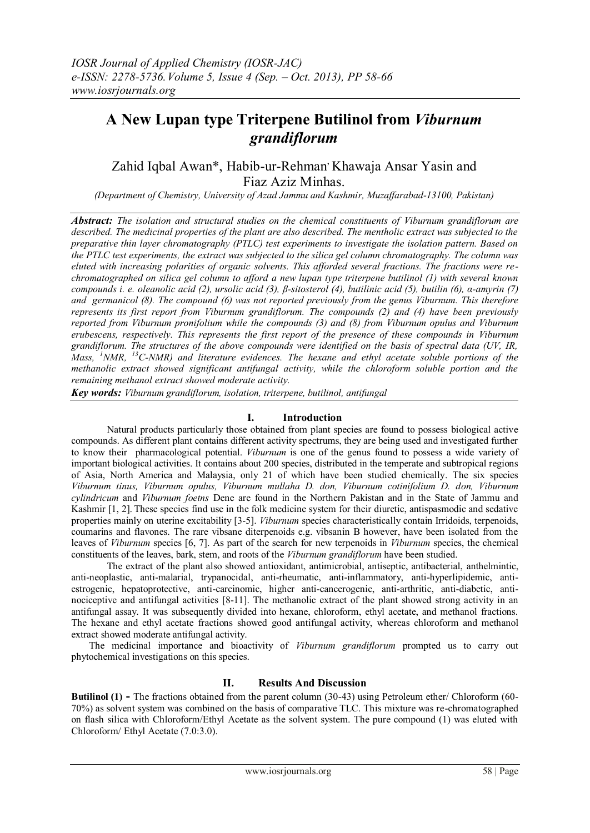# **A New Lupan type Triterpene Butilinol from** *Viburnum grandiflorum*

Zahid Iqbal Awan\*, Habib-ur-Rehman Khawaja Ansar Yasin and Fiaz Aziz Minhas.

*(Department of Chemistry, University of Azad Jammu and Kashmir, Muzaffarabad-13100, Pakistan)*

*Abstract: The isolation and structural studies on the chemical constituents of Viburnum grandiflorum are*  described. The medicinal properties of the plant are also described. The mentholic extract was subjected to the *preparative thin layer chromatography (PTLC) test experiments to investigate the isolation pattern. Based on the PTLC test experiments, the extract was subjected to the silica gel column chromatography. The column was eluted with increasing polarities of organic solvents. This afforded several fractions. The fractions were rechromatographed on silica gel column to afford a new lupan type triterpene butilinol (1) with several known compounds i. e. oleanolic acid (2), ursolic acid (3), β-sitosterol (4), butilinic acid (5), butilin (6), α-amyrin (7) and germanicol (8). The compound (6) was not reported previously from the genus Viburnum. This therefore represents its first report from Viburnum grandiflorum. The compounds (2) and (4) have been previously reported from Viburnum pronifolium while the compounds (3) and (8) from Viburnum opulus and Viburnum erubescens, respectively. This represents the first report of the presence of these compounds in Viburnum grandiflorum. The structures of the above compounds were identified on the basis of spectral data (UV, IR, Mass, <sup>1</sup>NMR, <sup>13</sup>C-NMR) and literature evidences. The hexane and ethyl acetate soluble portions of the methanolic extract showed significant antifungal activity, while the chloroform soluble portion and the remaining methanol extract showed moderate activity.*

*Key words: Viburnum grandiflorum, isolation, triterpene, butilinol, antifungal*

# **I. Introduction**

Natural products particularly those obtained from plant species are found to possess biological active compounds. As different plant contains different activity spectrums, they are being used and investigated further to know their pharmacological potential. *Viburnum* is one of the genus found to possess a wide variety of important biological activities. It contains about 200 species, distributed in the temperate and subtropical regions of Asia, North America and Malaysia, only 21 of which have been studied chemically. The six species *Viburnum tinus, Viburnum opulus, Viburnum mullaha D. don, Viburnum cotinifolium D. don, Viburnum cylindricum* and *Viburnum foetns* Dene are found in the Northern Pakistan and in the State of Jammu and Kashmir [1, 2]. These species find use in the folk medicine system for their diuretic, antispasmodic and sedative properties mainly on uterine excitability [3-5]. *Viburnum* species characteristically contain Irridoids, terpenoids, coumarins and flavones. The rare vibsane diterpenoids e.g. vibsanin B however, have been isolated from the leaves of *Viburnum* species [6, 7]. As part of the search for new terpenoids in *Viburnum* species, the chemical constituents of the leaves, bark, stem, and roots of the *Viburnum grandiflorum* have been studied.

The extract of the plant also showed antioxidant, antimicrobial, antiseptic, antibacterial, anthelmintic, anti-neoplastic, anti-malarial, trypanocidal, anti-rheumatic, anti-inflammatory, anti-hyperlipidemic, antiestrogenic, hepatoprotective, anti-carcinomic, higher anti-cancerogenic, anti-arthritic, anti-diabetic, antinociceptive and antifungal activities [8-11]. The methanolic extract of the plant showed strong activity in an antifungal assay. It was subsequently divided into hexane, chloroform, ethyl acetate, and methanol fractions. The hexane and ethyl acetate fractions showed good antifungal activity, whereas chloroform and methanol extract showed moderate antifungal activity.

The medicinal importance and bioactivity of *Viburnum grandiflorum* prompted us to carry out phytochemical investigations on this species.

# **II. Results And Discussion**

**Butilinol (1) -** The fractions obtained from the parent column (30-43) using Petroleum ether/ Chloroform (60- 70%) as solvent system was combined on the basis of comparative TLC. This mixture was re-chromatographed on flash silica with Chloroform/Ethyl Acetate as the solvent system. The pure compound (1) was eluted with Chloroform/ Ethyl Acetate (7.0:3.0).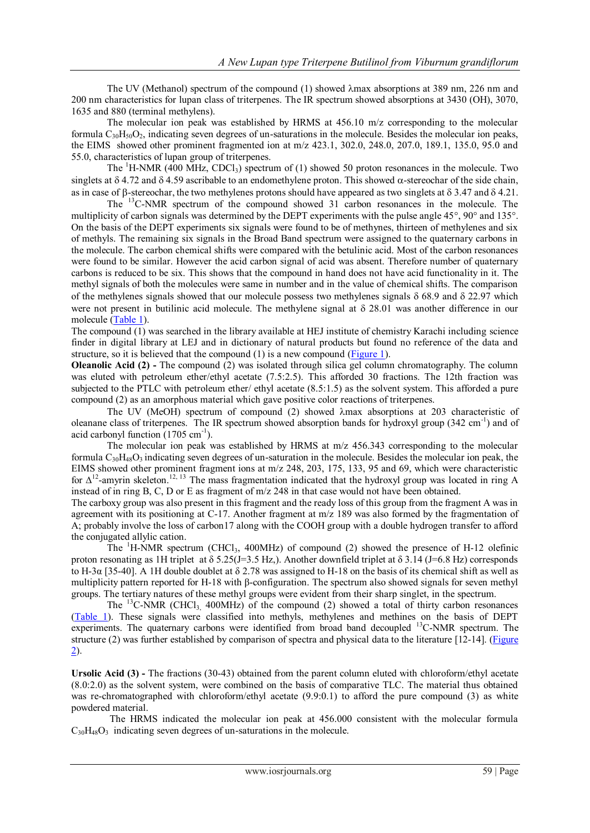The UV (Methanol) spectrum of the compound (1) showed  $\lambda$ max absorptions at 389 nm, 226 nm and 200 nm characteristics for lupan class of triterpenes. The IR spectrum showed absorptions at 3430 (OH), 3070, 1635 and 880 (terminal methylens).

The molecular ion peak was established by HRMS at 456.10 m/z corresponding to the molecular formula  $C_{30}H_{50}O_2$ , indicating seven degrees of un-saturations in the molecule. Besides the molecular ion peaks, the EIMS showed other prominent fragmented ion at m/z 423.1, 302.0, 248.0, 207.0, 189.1, 135.0, 95.0 and 55.0, characteristics of lupan group of triterpenes.

The  ${}^{1}$ H-NMR (400 MHz, CDCl<sub>3</sub>) spectrum of (1) showed 50 proton resonances in the molecule. Two singlets at  $\delta$  4.72 and  $\delta$  4.59 ascribable to an endomethylene proton. This showed  $\alpha$ -stereochar of the side chain, as in case of  $\beta$ -stereochar, the two methylenes protons should have appeared as two singlets at  $\delta$  3.47 and  $\delta$  4.21.

The <sup>13</sup>C-NMR spectrum of the compound showed 31 carbon resonances in the molecule. The multiplicity of carbon signals was determined by the DEPT experiments with the pulse angle  $45^{\circ}$ ,  $90^{\circ}$  and  $135^{\circ}$ . On the basis of the DEPT experiments six signals were found to be of methynes, thirteen of methylenes and six of methyls. The remaining six signals in the Broad Band spectrum were assigned to the quaternary carbons in the molecule. The carbon chemical shifts were compared with the betulinic acid. Most of the carbon resonances were found to be similar. However the acid carbon signal of acid was absent. Therefore number of quaternary carbons is reduced to be six. This shows that the compound in hand does not have acid functionality in it. The methyl signals of both the molecules were same in number and in the value of chemical shifts. The comparison of the methylenes signals showed that our molecule possess two methylenes signals  $\delta$  68.9 and  $\delta$  22.97 which were not present in butilinic acid molecule. The methylene signal at  $\delta$  28.01 was another difference in our molecule [\(Table 1\)](Table%201.docx).

The compound (1) was searched in the library available at HEJ institute of chemistry Karachi including science finder in digital library at LEJ and in dictionary of natural products but found no reference of the data and structure, so it is believed that the compound (1) is a new compound [\(Figure 1](Figure%201.docx)).

**Oleanolic Acid (2) -** The compound (2) was isolated through silica gel column chromatography. The column was eluted with petroleum ether/ethyl acetate (7.5:2.5). This afforded 30 fractions. The 12th fraction was subjected to the PTLC with petroleum ether/ ethyl acetate (8.5:1.5) as the solvent system. This afforded a pure compound (2) as an amorphous material which gave positive color reactions of triterpenes.

The UV (MeOH) spectrum of compound  $(2)$  showed  $\lambda$ max absorptions at 203 characteristic of oleanane class of triterpenes. The IR spectrum showed absorption bands for hydroxyl group (342 cm<sup>-1</sup>) and of acid carbonyl function (1705 cm<sup>-1</sup>).

The molecular ion peak was established by HRMS at m/z 456.343 corresponding to the molecular formula  $C_{30}H_{48}O_3$  indicating seven degrees of un-saturation in the molecule. Besides the molecular ion peak, the EIMS showed other prominent fragment ions at m/z 248, 203, 175, 133, 95 and 69, which were characteristic for  $\Delta^{12}$ -amyrin skeleton.<sup>12, 13</sup> The mass fragmentation indicated that the hydroxyl group was located in ring A instead of in ring B, C, D or E as fragment of m/z 248 in that case would not have been obtained.

The carboxy group was also present in this fragment and the ready loss of this group from the fragment A was in agreement with its positioning at C-17. Another fragment at m/z 189 was also formed by the fragmentation of A; probably involve the loss of carbon17 along with the COOH group with a double hydrogen transfer to afford the conjugated allylic cation.

The  ${}^{1}H$ -NMR spectrum (CHCl<sub>3</sub>, 400MHz) of compound (2) showed the presence of H-12 olefinic proton resonating as 1H triplet at  $\delta$  5.25(J=3.5 Hz,). Another downfield triplet at  $\delta$  3.14 (J=6.8 Hz) corresponds to H-3α [35-40]. A 1H double doublet at  $\delta$  2.78 was assigned to H-18 on the basis of its chemical shift as well as multiplicity pattern reported for H-18 with β-configuration. The spectrum also showed signals for seven methyl groups. The tertiary natures of these methyl groups were evident from their sharp singlet, in the spectrum.

The  $^{13}$ C-NMR (CHCl<sub>3</sub> 400MHz) of the compound (2) showed a total of thirty carbon resonances [\(Table 1\)](Table%201.docx). These signals were classified into methyls, methylenes and methines on the basis of DEPT experiments. The quaternary carbons were identified from broad band decoupled <sup>13</sup>C-NMR spectrum. The structure (2) was further established by comparison of spectra and physical data to the literature [12-14]. [\(Figure](Figure%202.docx)  [2\)](Figure%202.docx).

**Ursolic Acid (3) -** The fractions (30-43) obtained from the parent column eluted with chloroform/ethyl acetate (8.0:2.0) as the solvent system, were combined on the basis of comparative TLC. The material thus obtained was re-chromatographed with chloroform/ethyl acetate (9.9:0.1) to afford the pure compound (3) as white powdered material.

The HRMS indicated the molecular ion peak at 456.000 consistent with the molecular formula  $C_{30}H_{48}O_3$  indicating seven degrees of un-saturations in the molecule.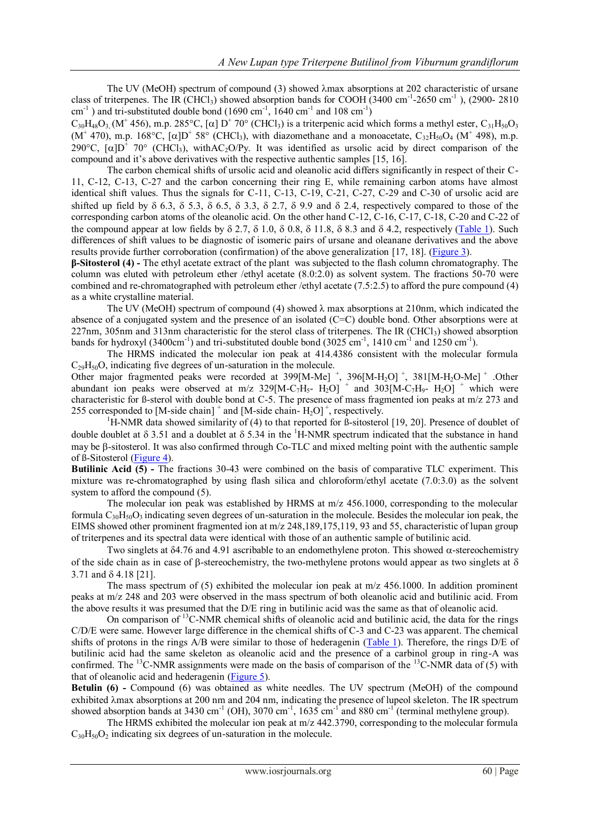The UV (MeOH) spectrum of compound (3) showed  $\lambda$ max absorptions at 202 characteristic of ursane class of triterpenes. The IR (CHCl<sub>3</sub>) showed absorption bands for COOH (3400 cm<sup>-1</sup>-2650 cm<sup>-1</sup>), (2900-2810  $\text{cm}^{-1}$ ) and tri-substituted double bond (1690 cm<sup>-1</sup>, 1640 cm<sup>-1</sup> and 108 cm<sup>-1</sup>)

 $C_{30}H_{48}O_{3}$  (M<sup>+</sup> 456), m.p. 285°C, [ $\alpha$ ] D<sup>+</sup> 70° (CHCl<sub>3</sub>) is a triterpenic acid which forms a methyl ester, C<sub>31</sub>H<sub>50</sub>O<sub>3</sub> (M<sup>+</sup> 470), m.p. 168°C, [ $\alpha$ ]D<sup>+</sup> 58° (CHCl<sub>3</sub>), with diazomethane and a monoacetate, C<sub>32</sub>H<sub>50</sub>O<sub>4</sub> (M<sup>+</sup> 498), m.p. 290°C,  $[\alpha]D^{\dagger}$  70° (CHCl<sub>3</sub>), withAC<sub>2</sub>O/Py. It was identified as ursolic acid by direct comparison of the compound and it's above derivatives with the respective authentic samples [15, 16].

The carbon chemical shifts of ursolic acid and oleanolic acid differs significantly in respect of their C-11, C-12, C-13, C-27 and the carbon concerning their ring E, while remaining carbon atoms have almost identical shift values. Thus the signals for C-11, C-13, C-19, C-21, C-27, C-29 and C-30 of ursolic acid are shifted up field by  $\delta$  6.3,  $\delta$  5.3,  $\delta$  6.5,  $\delta$  3.3,  $\delta$  2.7,  $\delta$  9.9 and  $\delta$  2.4, respectively compared to those of the corresponding carbon atoms of the oleanolic acid. On the other hand C-12, C-16, C-17, C-18, C-20 and C-22 of the compound appear at low fields by  $\delta$  2.7,  $\delta$  1.0,  $\delta$  0.8,  $\delta$  11.8,  $\delta$  8.3 and  $\delta$  4.2, respectively [\(Table 1\)](Table%201.docx). Such differences of shift values to be diagnostic of isomeric pairs of ursane and oleanane derivatives and the above results provide further corroboration (confirmation) of the above generalization [17, 18]. [\(Figure 3](Figure%203.docx)).

**β-Sitosterol (4) -** The ethyl acetate extract of the plant was subjected to the flash column chromatography. The column was eluted with petroleum ether /ethyl acetate (8.0:2.0) as solvent system. The fractions 50-70 were combined and re-chromatographed with petroleum ether /ethyl acetate (7.5:2.5) to afford the pure compound (4) as a white crystalline material.

The UV (MeOH) spectrum of compound (4) showed  $\lambda$  max absorptions at 210nm, which indicated the absence of a conjugated system and the presence of an isolated (C=C) double bond. Other absorptions were at 227nm, 305nm and 313nm characteristic for the sterol class of triterpenes. The IR (CHCl<sub>3</sub>) showed absorption bands for hydroxyl (3400cm<sup>-1</sup>) and tri-substituted double bond (3025 cm<sup>-1</sup>, 1410 cm<sup>-1</sup> and 1250 cm<sup>-1</sup>).

The HRMS indicated the molecular ion peak at 414.4386 consistent with the molecular formula  $C_{29}H_{50}O$ , indicating five degrees of un-saturation in the molecule.

Other major fragmented peaks were recorded at  $399[M-Me]$ <sup>+</sup>,  $396[M-H<sub>2</sub>O]$ <sup>+</sup>,  $381[M-H<sub>2</sub>O-Me]$ <sup>+</sup>. Other abundant ion peaks were observed at m/z  $329[M-C_7H_5-H_2O]$  + and  $303[M-C_7H_9-H_2O]$  + which were characteristic for ß-sterol with double bond at C-5. The presence of mass fragmented ion peaks at m/z 273 and 255 corresponded to [M-side chain]  $^+$  and [M-side chain-H<sub>2</sub>O]<sup> $+$ </sup>, respectively.

<sup>1</sup>H-NMR data showed similarity of (4) to that reported for *ß*-sitosterol [19, 20]. Presence of doublet of double doublet at  $\delta$  3.51 and a doublet at  $\delta$  5.34 in the <sup>1</sup>H-NMR spectrum indicated that the substance in hand may be  $\beta$ -sitosterol. It was also confirmed through Co-TLC and mixed melting point with the authentic sample of ß-Sitosterol [\(Figure 4\)](Figure%204.docx).

**Butilinic Acid (5) -** The fractions 30-43 were combined on the basis of comparative TLC experiment. This mixture was re-chromatographed by using flash silica and chloroform/ethyl acetate (7.0:3.0) as the solvent system to afford the compound (5).

The molecular ion peak was established by HRMS at m/z 456.1000, corresponding to the molecular formula  $C_{30}H_{50}O_3$  indicating seven degrees of un-saturation in the molecule. Besides the molecular ion peak, the EIMS showed other prominent fragmented ion at m/z 248,189,175,119, 93 and 55, characteristic of lupan group of triterpenes and its spectral data were identical with those of an authentic sample of butilinic acid.

Two singlets at  $\delta$ 4.76 and 4.91 ascribable to an endomethylene proton. This showed  $\alpha$ -stereochemistry of the side chain as in case of  $\beta$ -stereochemistry, the two-methylene protons would appear as two singlets at  $\delta$ 3.71 and  $\delta$  4.18 [21].

The mass spectrum of (5) exhibited the molecular ion peak at  $m/z$  456.1000. In addition prominent peaks at m/z 248 and 203 were observed in the mass spectrum of both oleanolic acid and butilinic acid. From the above results it was presumed that the D/E ring in butilinic acid was the same as that of oleanolic acid.

On comparison of <sup>13</sup>C-NMR chemical shifts of oleanolic acid and butilinic acid, the data for the rings C/D/E were same. However large difference in the chemical shifts of C-3 and C-23 was apparent. The chemical shifts of protons in the rings A/B were similar to those of hederagenin [\(Table 1\)](Table%201.docx). Therefore, the rings D/E of butilinic acid had the same skeleton as oleanolic acid and the presence of a carbinol group in ring-A was confirmed. The <sup>13</sup>C-NMR assignments were made on the basis of comparison of the <sup>13</sup>C-NMR data of (5) with that of oleanolic acid and hederagenin [\(Figure 5](Figure%205.docx)).

**Betulin (6) -** Compound (6) was obtained as white needles. The UV spectrum (MeOH) of the compound exhibited  $\lambda$ max absorptions at 200 nm and 204 nm, indicating the presence of lupeol skeleton. The IR spectrum showed absorption bands at 3430 cm<sup>-1</sup> (OH), 3070 cm<sup>-1</sup>, 1635 cm<sup>-1</sup> and 880 cm<sup>-1</sup> (terminal methylene group).

The HRMS exhibited the molecular ion peak at m/z 442.3790, corresponding to the molecular formula  $C_{30}H_{50}O_2$  indicating six degrees of un-saturation in the molecule.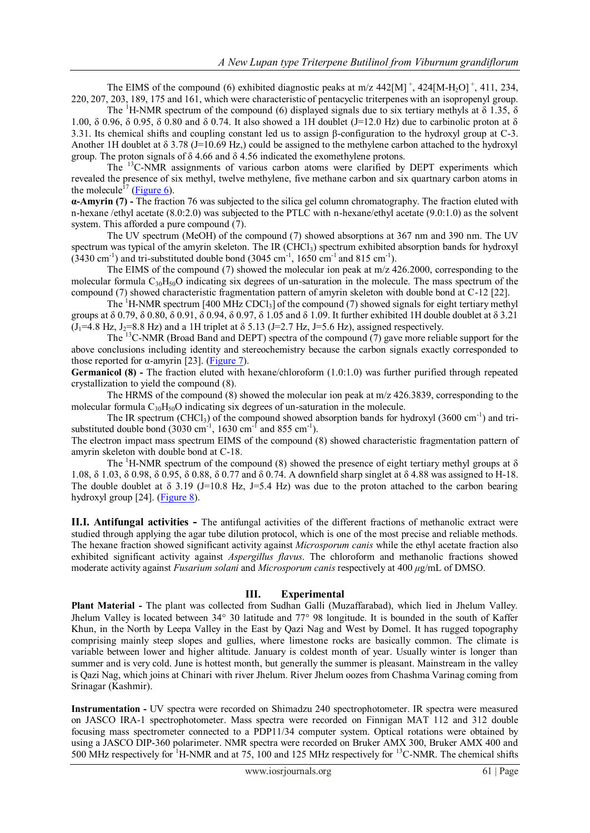The EIMS of the compound (6) exhibited diagnostic peaks at  $m/z$  442[M]<sup>+</sup>, 424[M-H<sub>2</sub>O]<sup>+</sup>, 411, 234, 220, 207, 203, 189, 175 and 161, which were characteristic of pentacyclic triterpenes with an isopropenyl group.

The <sup>1</sup>H-NMR spectrum of the compound (6) displayed signals due to six tertiary methyls at  $\delta$  1.35,  $\delta$ 1.00, δ 0.96, δ 0.95, δ 0.80 and δ 0.74. It also showed a 1H doublet (J=12.0 Hz) due to carbinolic proton at δ 3.31. Its chemical shifts and coupling constant led us to assign β-configuration to the hydroxyl group at C-3. Another 1H doublet at  $\delta$  3.78 (J=10.69 Hz,) could be assigned to the methylene carbon attached to the hydroxyl group. The proton signals of  $\delta$  4.66 and  $\delta$  4.56 indicated the exomethylene protons.

The <sup>13</sup>C-NMR assignments of various carbon atoms were clarified by DEPT experiments which revealed the presence of six methyl, twelve methylene, five methane carbon and six quartnary carbon atoms in the molecule<sup> $17$ </sup> [\(Figure 6\)](Figure%206.docx).

**α-Amyrin (7) -** The fraction 76 was subjected to the silica gel column chromatography. The fraction eluted with n-hexane /ethyl acetate (8.0:2.0) was subjected to the PTLC with n-hexane/ethyl acetate (9.0:1.0) as the solvent system. This afforded a pure compound (7).

The UV spectrum (MeOH) of the compound (7) showed absorptions at 367 nm and 390 nm. The UV spectrum was typical of the amyrin skeleton. The IR (CHCl<sub>3</sub>) spectrum exhibited absorption bands for hydroxyl  $(3430 \text{ cm}^{-1})$  and tri-substituted double bond  $(3045 \text{ cm}^{-1}, 1650 \text{ cm}^{-1} \text{ and } 815 \text{ cm}^{-1})$ .

The EIMS of the compound (7) showed the molecular ion peak at  $m/z$  426.2000, corresponding to the molecular formula  $C_{30}H_{50}O$  indicating six degrees of un-saturation in the molecule. The mass spectrum of the compound (7) showed characteristic fragmentation pattern of amyrin skeleton with double bond at C-12 [22].

The  ${}^{1}$ H-NMR spectrum [400 MHz CDCl<sub>3</sub>] of the compound (7) showed signals for eight tertiary methyl groups at δ 0.79, δ 0.80, δ 0.91, δ 0.94, δ 0.97, δ 1.05 and δ 1.09. It further exhibited 1H double doublet at δ 3.21  $(J_1=4.8 \text{ Hz}, J_2=8.8 \text{ Hz})$  and a 1H triplet at  $\delta$  5.13 (J=2.7 Hz, J=5.6 Hz), assigned respectively.

The <sup>13</sup>C-NMR (Broad Band and DEPT) spectra of the compound (7) gave more reliable support for the above conclusions including identity and stereochemistry because the carbon signals exactly corresponded to those reported for α-amyrin [23]. [\(Figure 7\)](Figure%207.docx).

**Germanicol (8) -** The fraction eluted with hexane/chloroform (1.0:1.0) was further purified through repeated crystallization to yield the compound (8).

The HRMS of the compound (8) showed the molecular ion peak at m/z 426.3839, corresponding to the molecular formula  $C_{30}H_{50}O$  indicating six degrees of un-saturation in the molecule.

The IR spectrum (CHCl<sub>3</sub>) of the compound showed absorption bands for hydroxyl (3600 cm<sup>-1</sup>) and trisubstituted double bond  $(3030 \text{ cm}^{-1}, 1630 \text{ cm}^{-1} \text{ and } 855 \text{ cm}^{-1})$ .

The electron impact mass spectrum EIMS of the compound (8) showed characteristic fragmentation pattern of amyrin skeleton with double bond at C-18.

The <sup>1</sup>H-NMR spectrum of the compound (8) showed the presence of eight tertiary methyl groups at  $\delta$ 1.08, δ 1.03, δ 0.98, δ 0.95, δ 0.88, δ 0.77 and δ 0.74. A downfield sharp singlet at δ 4.88 was assigned to H-18. The double doublet at  $\delta$  3.19 (J=10.8 Hz, J=5.4 Hz) was due to the proton attached to the carbon bearing hydroxyl group [24]. [\(Figure 8\)](Figure%208.docx).

**II.I. Antifungal activities -** The antifungal activities of the different fractions of methanolic extract were studied through applying the agar tube dilution protocol, which is one of the most precise and reliable methods. The hexane fraction showed significant activity against *Microsporum canis* while the ethyl acetate fraction also exhibited significant activity against *Aspergillus flavus*. The chloroform and methanolic fractions showed moderate activity against *Fusarium solani* and *Microsporum canis* respectively at 400 *μ*g/mL of DMSO.

# **III. Experimental**

**Plant Material -** The plant was collected from Sudhan Galli (Muzaffarabad), which lied in Jhelum Valley. Jhelum Valley is located between 34° 30 latitude and 77° 98 longitude. It is bounded in the south of Kaffer Khun, in the North by Leepa Valley in the East by Qazi Nag and West by Domel. It has rugged topography comprising mainly steep slopes and gullies, where limestone rocks are basically common. The climate is variable between lower and higher altitude. January is coldest month of year. Usually winter is longer than summer and is very cold. June is hottest month, but generally the summer is pleasant. Mainstream in the valley is Qazi Nag, which joins at Chinari with river Jhelum. River Jhelum oozes from Chashma Varinag coming from Srinagar (Kashmir).

**Instrumentation -** UV spectra were recorded on Shimadzu 240 spectrophotometer. IR spectra were measured on JASCO IRA-1 spectrophotometer. Mass spectra were recorded on Finnigan MAT 112 and 312 double focusing mass spectrometer connected to a PDP11/34 computer system. Optical rotations were obtained by using a JASCO DIP-360 polarimeter. NMR spectra were recorded on Bruker AMX 300, Bruker AMX 400 and 500 MHz respectively for <sup>1</sup>H-NMR and at 75, 100 and 125 MHz respectively for <sup>13</sup>C-NMR. The chemical shifts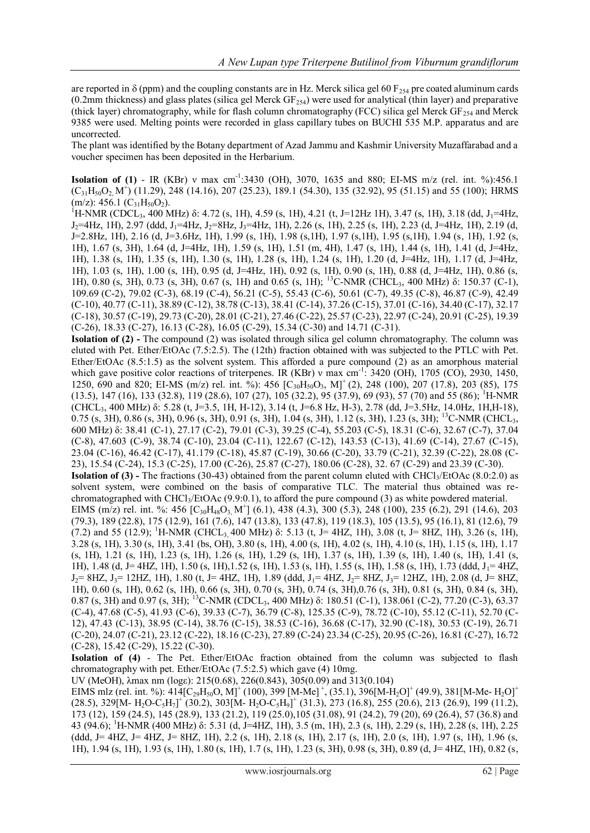are reported in  $\delta$  (ppm) and the coupling constants are in Hz. Merck silica gel 60 F<sub>254</sub> pre coated aluminum cards (0.2mm thickness) and glass plates (silica gel Merck  $GF<sub>254</sub>$ ) were used for analytical (thin layer) and preparative (thick layer) chromatography, while for flash column chromatography (FCC) silica gel Merck  $GF_{254}$  and Merck 9385 were used. Melting points were recorded in glass capillary tubes on BUCHI 535 M.P. apparatus and are uncorrected.

The plant was identified by the Botany department of Azad Jammu and Kashmir University Muzaffarabad and a voucher specimen has been deposited in the Herbarium.

**Isolation of (1)** - IR (KBr) v max cm<sup>-1</sup>:3430 (OH), 3070, 1635 and 880; EI-MS m/z (rel. int. %):456.1  $(C_{31}H_{50}O_2 M^4)$  (11.29), 248 (14.16), 207 (25.23), 189.1 (54.30), 135 (32.92), 95 (51.15) and 55 (100); HRMS  $(m/z)$ : 456.1  $(C_{31}H_{50}O_2)$ .

 $^{1}$ H-NMR (CDCL<sub>3</sub>, 400 MHz) δ: 4.72 (s, 1H), 4.59 (s, 1H), 4.21 (t, J=12Hz 1H), 3.47 (s, 1H), 3.18 (dd, J<sub>1</sub>=4Hz,  $J_2=4Hz$ , 1H), 2.97 (ddd,  $J_1=4Hz$ ,  $J_2=8Hz$ ,  $J_3=4Hz$ , 1H), 2.26 (s, 1H), 2.25 (s, 1H), 2.23 (d, J=4Hz, 1H), 2.19 (d, J=2.8Hz, 1H), 2.16 (d, J=3.6Hz, 1H), 1.99 (s, 1H), 1.98 (s,1H), 1.97 (s,1H), 1.95 (s,1H), 1.94 (s, 1H), 1.92 (s, 1H), 1.67 (s, 3H), 1.64 (d, J=4Hz, 1H), 1.59 (s, 1H), 1.51 (m, 4H), 1.47 (s, 1H), 1.44 (s, 1H), 1.41 (d, J=4Hz, 1H), 1.38 (s, 1H), 1.35 (s, 1H), 1.30 (s, 1H), 1.28 (s, 1H), 1.24 (s, 1H), 1.20 (d, J=4Hz, 1H), 1.17 (d, J=4Hz, 1H), 1.03 (s, 1H), 1.00 (s, 1H), 0.95 (d, J=4Hz, 1H), 0.92 (s, 1H), 0.90 (s, 1H), 0.88 (d, J=4Hz, 1H), 0.86 (s, 1H), 0.80 (s, 3H), 0.73 (s, 3H), 0.67 (s, 1H) and 0.65 (s, 1H); <sup>13</sup>C-NMR (CHCL3, 400 MHz) δ: 150.37 (C-1), 109.69 (C-2), 79.02 (C-3), 68.19 (C-4), 56.21 (C-5), 55.43 (C-6), 50.61 (C-7), 49.35 (C-8), 46.87 (C-9), 42.49 (C-10), 40.77 (C-11), 38.89 (C-12), 38.78 (C-13), 38.41 (C-14), 37.26 (C-15), 37.01 (C-16), 34.40 (C-17), 32.17 (C-18), 30.57 (C-19), 29.73 (C-20), 28.01 (C-21), 27.46 (C-22), 25.57 (C-23), 22.97 (C-24), 20.91 (C-25), 19.39 (C-26), 18.33 (C-27), 16.13 (C-28), 16.05 (C-29), 15.34 (C-30) and 14.71 (C-31).

**Isolation of (2) -** The compound (2) was isolated through silica gel column chromatography. The column was eluted with Pet. Ether/EtOAc (7.5:2.5). The (12th) fraction obtained with was subjected to the PTLC with Pet. Ether/EtOAc (8.5:1.5) as the solvent system. This afforded a pure compound (2) as an amorphous material which gave positive color reactions of triterpenes. IR (KBr) v max cm<sup>-1</sup>: 3420 (OH), 1705 (CO), 2930, 1450, 1250, 690 and 820; EI-MS (m/z) rel. int. %): 456 [C<sub>30</sub>H<sub>50</sub>O<sub>3</sub>, M]<sup>+</sup> (2), 248 (100), 207 (17.8), 203 (85), 175 (13.5), 147 (16), 133 (32.8), 119 (28.6), 107 (27), 105 (32.2), 95 (37.9), 69 (93), 57 (70) and 55 (86); <sup>1</sup>H-NMR  $(CHCL<sub>3</sub>, 400 MHz)$  δ: 5.28 (t, J=3.5, 1H, H-12), 3.14 (t, J=6.8 Hz, H-3), 2.78 (dd, J=3.5Hz, 14.0Hz, 1H,H-18), 0.75 (s, 3H), 0.86 (s, 3H), 0.96 (s, 3H), 0.91 (s, 3H), 1.04 (s, 3H), 1.12 (s, 3H), 1.23 (s, 3H); <sup>13</sup>C-NMR (CHCL<sub>3</sub>, 600 MHz) δ: 38.41 (C-1), 27.17 (C-2), 79.01 (C-3), 39.25 (C-4), 55.203 (C-5), 18.31 (C-6), 32.67 (C-7), 37.04 (C-8), 47.603 (C-9), 38.74 (C-10), 23.04 (C-11), 122.67 (C-12), 143.53 (C-13), 41.69 (C-14), 27.67 (C-15), 23.04 (C-16), 46.42 (C-17), 41.179 (C-18), 45.87 (C-19), 30.66 (C-20), 33.79 (C-21), 32.39 (C-22), 28.08 (C-23), 15.54 (C-24), 15.3 (C-25), 17.00 (C-26), 25.87 (C-27), 180.06 (C-28), 32. 67 (C-29) and 23.39 (C-30). **Isolation of (3) -** The fractions (30-43) obtained from the parent column eluted with CHCl<sub>3</sub>/EtOAc (8.0:2.0) as solvent system, were combined on the basis of comparative TLC. The material thus obtained was rechromatographed with CHCl<sub>3</sub>/EtOAc (9.9:0.1), to afford the pure compound (3) as white powdered material. EIMS (m/z) rel. int. %: 456  $[C_{30}H_{48}O_3, M^+]$  (6.1), 438 (4.3), 300 (5.3), 248 (100), 235 (6.2), 291 (14.6), 203 (79.3), 189 (22.8), 175 (12.9), 161 (7.6), 147 (13.8), 133 (47.8), 119 (18.3), 105 (13.5), 95 (16.1), 81 (12.6), 79 (7.2) and 55 (12.9); <sup>1</sup>H-NMR (CHCL<sub>3</sub> 400 MHz) δ: 5.13 (t, J= 4HZ, 1H), 3.08 (t, J= 8HZ, 1H), 3.26 (s, 1H), 3.28 (s, 1H), 3.30 (s, 1H), 3.41 (bs, OH), 3.80 (s, 1H), 4.00 (s, 1H), 4.02 (s, 1H), 4.10 (s, 1H), 1.15 (s, 1H), 1.17 (s, 1H), 1.21 (s, 1H), 1.23 (s, 1H), 1.26 (s, 1H), 1.29 (s, 1H), 1.37 (s, 1H), 1.39 (s, 1H), 1.40 (s, 1H), 1.41 (s, 1H), 1.48 (d, J= 4HZ, 1H), 1.50 (s, 1H), 1.52 (s, 1H), 1.53 (s, 1H), 1.55 (s, 1H), 1.58 (s, 1H), 1.73 (ddd, J<sub>1</sub>= 4HZ,  $J_2$  = 8HZ,  $J_3$  = 12HZ, 1H), 1.80 (t, J = 4HZ, 1H), 1.89 (ddd,  $J_1$  = 4HZ,  $J_2$  = 8HZ,  $J_3$  = 12HZ, 1H), 2.08 (d, J = 8HZ, 1H), 0.60 (s, 1H), 0.62 (s, 1H), 0.66 (s, 3H), 0.70 (s, 3H), 0.74 (s, 3H),0.76 (s, 3H), 0.81 (s, 3H), 0.84 (s, 3H), 0.87 (s, 3H) and 0.97 (s, 3H); <sup>13</sup>C-NMR (CDCL3, 400 MHz) δ: 180.51 (C-1), 138.061 (C-2), 77.20 (C-3), 63.37 (C-4), 47.68 (C-5), 41.93 (C-6), 39.33 (C-7), 36.79 (C-8), 125.35 (C-9), 78.72 (C-10), 55.12 (C-11), 52.70 (C-12), 47.43 (C-13), 38.95 (C-14), 38.76 (C-15), 38.53 (C-16), 36.68 (C-17), 32.90 (C-18), 30.53 (C-19), 26.71 (C-20), 24.07 (C-21), 23.12 (C-22), 18.16 (C-23), 27.89 (C-24) 23.34 (C-25), 20.95 (C-26), 16.81 (C-27), 16.72

(C-28), 15.42 (C-29), 15.22 (C-30).

**Isolation of (4)** - The Pet. Ether/EtOAc fraction obtained from the column was subjected to flash chromatography with pet. Ether/EtOAc (7.5:2.5) which gave (4) 10mg.

UV (MeOH), λmax nm (logε): 215(0.68), 226(0.843), 305(0.09) and 313(0.104)

EIMS mlz (rel. int. %):  $414[C_{29}H_{50}O, M]^+$  (100), 399 [M-Me]<sup>+</sup>, (35.1), 396[M-H<sub>2</sub>O]<sup>+</sup> (49.9), 381[M-Me- H<sub>2</sub>O]<sup>+</sup>  $(28.5), 329$ [M- H<sub>2</sub>O-C<sub>5</sub>H<sub>7</sub>]<sup>+</sup> (30.2), 303[M- H<sub>2</sub>O-C<sub>5</sub>H<sub>9</sub>]<sup>+</sup> (31.3), 273 (16.8), 255 (20.6), 213 (26.9), 199 (11.2), 173 (12), 159 (24.5), 145 (28.9), 133 (21.2), 119 (25.0),105 (31.08), 91 (24.2), 79 (20), 69 (26.4), 57 (36.8) and 43 (94.6); <sup>1</sup>H-NMR (400 MHz) δ: 5.31 (d, J=4HZ, 1H), 3.5 (m, 1H), 2.3 (s, 1H), 2.29 (s, 1H), 2.28 (s, 1H), 2.25 (ddd, J= 4HZ, J= 4HZ, J= 8HZ, 1H), 2.2 (s, 1H), 2.18 (s, 1H), 2.17 (s, 1H), 2.0 (s, 1H), 1.97 (s, 1H), 1.96 (s, 1H), 1.94 (s, 1H), 1.93 (s, 1H), 1.80 (s, 1H), 1.7 (s, 1H), 1.23 (s, 3H), 0.98 (s, 3H), 0.89 (d, J= 4HZ, 1H), 0.82 (s,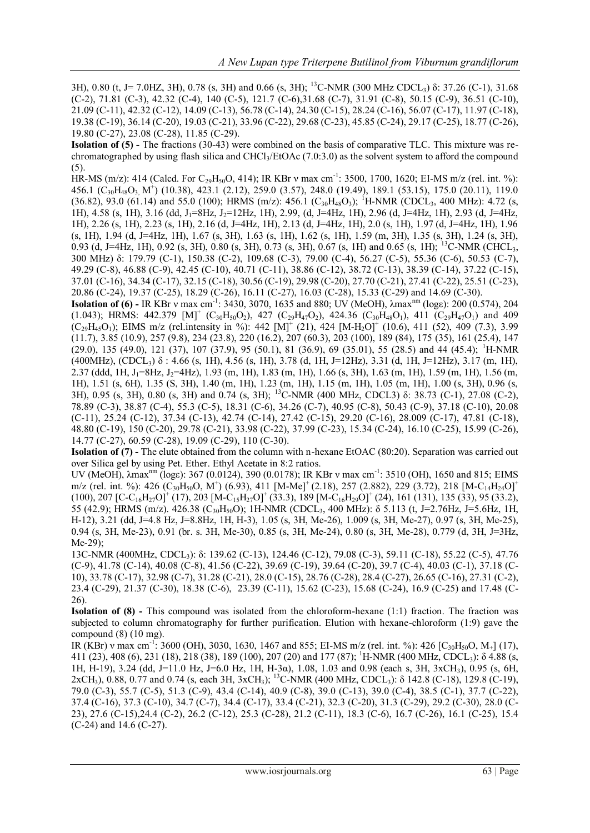3H), 0.80 (t, J= 7.0HZ, 3H), 0.78 (s, 3H) and 0.66 (s, 3H); <sup>13</sup>C-NMR (300 MHz CDCL3) δ: 37.26 (C-1), 31.68 (C-2), 71.81 (C-3), 42.32 (C-4), 140 (C-5), 121.7 (C-6),31.68 (C-7), 31.91 (C-8), 50.15 (C-9), 36.51 (C-10), 21.09 (C-11), 42.32 (C-12), 14.09 (C-13), 56.78 (C-14), 24.30 (C-15), 28.24 (C-16), 56.07 (C-17), 11.97 (C-18), 19.38 (C-19), 36.14 (C-20), 19.03 (C-21), 33.96 (C-22), 29.68 (C-23), 45.85 (C-24), 29.17 (C-25), 18.77 (C-26), 19.80 (C-27), 23.08 (C-28), 11.85 (C-29).

**Isolation of (5) -** The fractions (30-43) were combined on the basis of comparative TLC. This mixture was rechromatographed by using flash silica and CHCl<sub>3</sub>/EtOAc (7.0:3.0) as the solvent system to afford the compound (5).

HR-MS (m/z): 414 (Calcd. For C<sub>29</sub>H<sub>50</sub>O, 414); IR KBr v max cm<sup>-1</sup>: 3500, 1700, 1620; EI-MS m/z (rel. int. %): 456.1 ( $C_{30}H_{48}O_3$  M<sup>+</sup>) (10.38), 423.1 (2.12), 259.0 (3.57), 248.0 (19.49), 189.1 (53.15), 175.0 (20.11), 119.0  $(36.82), 93.0 (61.14)$  and 55.0 (100); HRMS (m/z): 456.1 (C<sub>30</sub>H<sub>48</sub>O<sub>3</sub>); <sup>1</sup>H-NMR (CDCL<sub>3</sub>, 400 MHz): 4.72 (s, 1H),  $4.58$  (s, 1H),  $3.16$  (dd,  $J_1=8$ Hz,  $J_2=12$ Hz, 1H), 2.99, (d, J=4Hz, 1H), 2.96 (d, J=4Hz, 1H), 2.93 (d, J=4Hz, 1H), 2.26 (s, 1H), 2.23 (s, 1H), 2.16 (d, J=4Hz, 1H), 2.13 (d, J=4Hz, 1H), 2.0 (s, 1H), 1.97 (d, J=4Hz, 1H), 1.96 (s, 1H), 1.94 (d, J=4Hz, 1H), 1.67 (s, 3H), 1.63 (s, 1H), 1.62 (s, 1H), 1.59 (m, 3H), 1.35 (s, 3H), 1.24 (s, 3H), 0.93 (d, J=4Hz, 1H), 0.92 (s, 3H), 0.80 (s, 3H), 0.73 (s, 3H), 0.67 (s, 1H) and 0.65 (s, 1H); <sup>13</sup>C-NMR (CHCL3, 300 MHz) δ: 179.79 (C-1), 150.38 (C-2), 109.68 (C-3), 79.00 (C-4), 56.27 (C-5), 55.36 (C-6), 50.53 (C-7), 49.29 (C-8), 46.88 (C-9), 42.45 (C-10), 40.71 (C-11), 38.86 (C-12), 38.72 (C-13), 38.39 (C-14), 37.22 (C-15), 37.01 (C-16), 34.34 (C-17), 32.15 (C-18), 30.56 (C-19), 29.98 (C-20), 27.70 (C-21), 27.41 (C-22), 25.51 (C-23), 20.86 (C-24), 19.37 (C-25), 18.29 (C-26), 16.11 (C-27), 16.03 (C-28), 15.33 (C-29) and 14.69 (C-30).

**Isolation of (6)** - IR KBr ν max cm<sup>-1</sup>: 3430, 3070, 1635 and 880; UV (MeOH), λmax<sup>nm</sup> (logε): 200 (0.574), 204  $(1.043)$ ; HRMS: 442.379 [M]<sup>+</sup> (C<sub>30</sub>H<sub>50</sub>O<sub>2</sub>), 427 (C<sub>29</sub>H<sub>47</sub>O<sub>2</sub>), 424.36 (C<sub>30</sub>H<sub>48</sub>O<sub>1</sub>), 411 (C<sub>29</sub>H<sub>47</sub>O<sub>1</sub>) and 409  $(C_{29}H_{45}O_1)$ ; EIMS m/z (rel.intensity in %): 442  $[M]^+$  (21), 424  $[M-H_2O]^+$  (10.6), 411 (52), 409 (7.3), 3.99 (11.7), 3.85 (10.9), 257 (9.8), 234 (23.8), 220 (16.2), 207 (60.3), 203 (100), 189 (84), 175 (35), 161 (25.4), 147  $(29.0)$ , 135  $(49.0)$ , 121  $(37)$ , 107  $(37.9)$ , 95  $(50.1)$ , 81  $(36.9)$ , 69  $(35.01)$ , 55  $(28.5)$  and 44  $(45.4)$ ; <sup>1</sup>H-NMR (400MHz), (CDCL3) δ : 4.66 (s, 1H), 4.56 (s, 1H), 3.78 (d, 1H, J=12Hz), 3.31 (d, 1H, J=12Hz), 3.17 (m, 1H), 2.37 (ddd, 1H, J<sub>1</sub>=8Hz, J<sub>2</sub>=4Hz), 1.93 (m, 1H), 1.83 (m, 1H), 1.66 (s, 3H), 1.63 (m, 1H), 1.59 (m, 1H), 1.56 (m, 1H), 1.51 (s, 6H), 1.35 (S, 3H), 1.40 (m, 1H), 1.23 (m, 1H), 1.15 (m, 1H), 1.05 (m, 1H), 1.00 (s, 3H), 0.96 (s, 3H), 0.95 (s, 3H), 0.80 (s, 3H) and 0.74 (s, 3H); <sup>13</sup>C-NMR (400 MHz, CDCL3) δ: 38.73 (C-1), 27.08 (C-2), 78.89 (C-3), 38.87 (C-4), 55.3 (C-5), 18.31 (C-6), 34.26 (C-7), 40.95 (C-8), 50.43 (C-9), 37.18 (C-10), 20.08 (C-11), 25.24 (C-12), 37.34 (C-13), 42.74 (C-14), 27.42 (C-15), 29.20 (C-16), 28.009 (C-17), 47.81 (C-18), 48.80 (C-19), 150 (C-20), 29.78 (C-21), 33.98 (C-22), 37.99 (C-23), 15.34 (C-24), 16.10 (C-25), 15.99 (C-26), 14.77 (C-27), 60.59 (C-28), 19.09 (C-29), 110 (C-30).

**Isolation of (7) -** The elute obtained from the column with n-hexane EtOAC (80:20). Separation was carried out over Silica gel by using Pet. Ether. Ethyl Acetate in 8:2 ratios.

UV (MeOH), λmax<sup>nm</sup> (logε): 367 (0.0124), 390 (0.0178); IR KBr ν max cm<sup>-1</sup>: 3510 (OH), 1650 and 815; EIMS m/z (rel. int. %): 426 (C<sub>30</sub>H<sub>50</sub>O, M<sup>+</sup>) (6.93), 411 [M-Me]<sup>+</sup> (2.18), 257 (2.882), 229 (3.72), 218 [M-C<sub>14</sub>H<sub>24</sub>O]<sup>+</sup>  $(100)$ , 207 [C-C<sub>16</sub>H<sub>27</sub>O]<sup>+</sup> (17), 203 [M-C<sub>15</sub>H<sub>27</sub>O]<sup>+</sup> (33.3), 189 [M-C<sub>16</sub>H<sub>29</sub>O]<sup>+</sup> (24), 161 (131), 135 (33), 95 (33.2), 55 (42.9); HRMS (m/z). 426.38 (C30H50O); 1H-NMR (CDCL3, 400 MHz): δ 5.113 (t, J=2.76Hz, J=5.6Hz, 1H, H-12), 3.21 (dd, J=4.8 Hz, J=8.8Hz, 1H, H-3), 1.05 (s, 3H, Me-26), 1.009 (s, 3H, Me-27), 0.97 (s, 3H, Me-25), 0.94 (s, 3H, Me-23), 0.91 (br. s. 3H, Me-30), 0.85 (s, 3H, Me-24), 0.80 (s, 3H, Me-28), 0.779 (d, 3H, J=3Hz, Me-29);

13C-NMR (400MHz, CDCL<sub>3</sub>): δ: 139.62 (C-13), 124.46 (C-12), 79.08 (C-3), 59.11 (C-18), 55.22 (C-5), 47.76 (C-9), 41.78 (C-14), 40.08 (C-8), 41.56 (C-22), 39.69 (C-19), 39.64 (C-20), 39.7 (C-4), 40.03 (C-1), 37.18 (C-10), 33.78 (C-17), 32.98 (C-7), 31.28 (C-21), 28.0 (C-15), 28.76 (C-28), 28.4 (C-27), 26.65 (C-16), 27.31 (C-2), 23.4 (C-29), 21.37 (C-30), 18.38 (C-6), 23.39 (C-11), 15.62 (C-23), 15.68 (C-24), 16.9 (C-25) and 17.48 (C-26).

**Isolation of (8) -** This compound was isolated from the chloroform-hexane (1:1) fraction. The fraction was subjected to column chromatography for further purification. Elution with hexane-chloroform (1:9) gave the compound (8) (10 mg).

IR (KBr) v max cm<sup>-1</sup>: 3600 (OH), 3030, 1630, 1467 and 855; EI-MS m/z (rel. int. %): 426 [C<sub>30</sub>H<sub>50</sub>O, M<sub>+</sub>] (17), 411 (23), 408 (6), 231 (18), 218 (38), 189 (100), 207 (20) and 177 (87); <sup>1</sup>H-NMR (400 MHz, CDCL3): δ 4.88 (s, 1H, H-19), 3.24 (dd, J=11.0 Hz, J=6.0 Hz, 1H, H-3α), 1.08, 1.03 and 0.98 (each s, 3H, 3xCH3), 0.95 (s, 6H,  $2xCH_3$ ), 0.88, 0.77 and 0.74 (s, each 3H, 3xCH<sub>3</sub>); <sup>13</sup>C-NMR (400 MHz, CDCL<sub>3</sub>): δ 142.8 (C-18), 129.8 (C-19), 79.0 (C-3), 55.7 (C-5), 51.3 (C-9), 43.4 (C-14), 40.9 (C-8), 39.0 (C-13), 39.0 (C-4), 38.5 (C-1), 37.7 (C-22), 37.4 (C-16), 37.3 (C-10), 34.7 (C-7), 34.4 (C-17), 33.4 (C-21), 32.3 (C-20), 31.3 (C-29), 29.2 (C-30), 28.0 (C-23), 27.6 (C-15),24.4 (C-2), 26.2 (C-12), 25.3 (C-28), 21.2 (C-11), 18.3 (C-6), 16.7 (C-26), 16.1 (C-25), 15.4 (C-24) and 14.6 (C-27).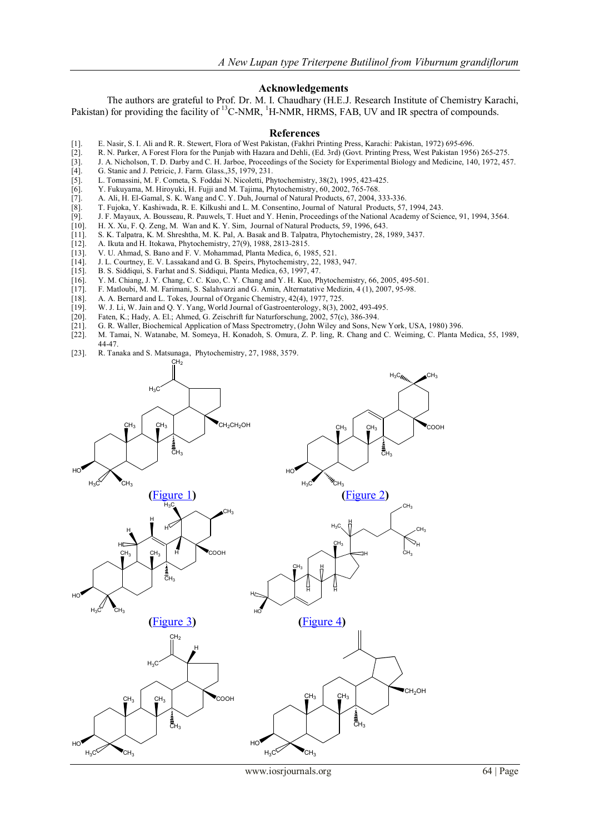### **Acknowledgements**

The authors are grateful to Prof. Dr. M. I. Chaudhary (H.E.J. Research Institute of Chemistry Karachi, Pakistan) for providing the facility of <sup>13</sup>C-NMR, <sup>1</sup>H-NMR, HRMS, FAB, UV and IR spectra of compounds.

#### **References**

- 
- [1]. E. Nasir, S. I. Ali and R. R. Stewert, Flora of West Pakistan, (Fakhri Printing Press, Karachi: Pakistan, 1972) 695-696. [2]. R. N. Parker, A Forest Flora for the Punjab with Hazara and Dehli, (Ed. 3rd) (Govt. Printing Press, West Pakistan 1956) 265-275.
- [3]. J. A. Nicholson, T. D. Darby and C. H. Jarboe, Proceedings of the Society for Experimental Biology and Medicine, 140, 1972, 457. [4]. G. Stanic and J. Petricic, J. Farm. Glass., 35, 1979, 231.
- [4]. G. Stanic and J. Petricic, J. Farm. Glass.,35, 1979, 231.
- 
- [5]. L. Tomassini, M. F. Cometa, S. Foddai N. Nicoletti, Phytochemistry, 38(2), 1995, 423-425.<br>[6]. Y. Fukuyama, M. Hiroyuki, H. Fujii and M. Tajima, Phytochemistry, 60, 2002, 765-768. [6]. Y. Fukuyama, M. Hiroyuki, H. Fujji and M. Tajima, Phytochemistry, 60, 2002, 765-768.
- [7]. A. Ali, H. El-Gamal, S. K. Wang and C. Y. Duh, Journal of Natural Products, 67, 2004, 333-336.
- 
- [8]. T. Fujoka, Y. Kashiwada, R. E. Kilkushi and L. M. Consentino, Journal of Natural Products, 57, 1994, 243. [9]. J. F. Mayaux, A. Bousseau, R. Pauwels, T. Huet and Y. Henin, Proceedings of the National Academy of Scie [9]. J. F. Mayaux, A. Bousseau, R. Pauwels, T. Huet and Y. Henin, Proceedings of the National Academy of Science, 91, 1994, 3564. [10]. H. X. Xu. F. O. Zeng. M. Wan and K. Y. Sim. Journal of Natural Products. 59. 1996. 64
- 
- [10]. H. X. Xu, F. Q. Zeng, M. Wan and K. Y. Sim, Journal of Natural Products, 59, 1996, 643. [11]. S. K. Talpatra, K. M. Shreshtha, M. K. Pal, A. Basak and B. Talpatra, Phytochemistry, 28, 1989, 3437. [12]. A. Ikuta and H. Itokawa, Phytochemistry, 27(9), 1988, 2813-2815.
- 
- [12]. A. Ikuta and H. Itokawa, Phytochemistry,  $27(9)$ , 1988,  $2813-2815$ .<br>[13]. V. U. Ahmad, S. Bano and F. V. Mohammad, Planta Medica, 6, 19. V. U. Ahmad, S. Bano and F. V. Mohammad, Planta Medica, 6, 1985, 521.
- [14]. J. L. Courtney, E. V. Lassakand and G. B. Speirs, Phytochemistry, 22, 1983, 947.
- 
- [15]. B. S. Siddiqui, S. Farhat and S. Siddiqui, Planta Medica, 63, 1997, 47. [16]. Y. M. Chiang, J. Y. Chang, C. C. Kuo, C. Y. Chang and Y. H. Kuo, P. [16]. Y. M. Chiang, J. Y. Chang, C. C. Kuo, C. Y. Chang and Y. H. Kuo, Phytochemistry, 66, 2005, 495-501.<br>[17]. F. Matloubi, M. M. Farimani, S. Salahvarzi and G. Amin, Alternatative Medizin, 4(1), 2007, 95-98.
- [17]. F. Matloubi, M. M. Farimani, S. Salahvarzi and G. Amin, Alternatative Medizin, 4 (1), 2007, 95-98.
- 
- [18]. A. A. Bernard and L. Tokes, Journal of Organic Chemistry, 42(4), 1977, 725.<br>[19]. W. J. Li, W. Jain and Q. Y. Yang, World Journal of Gastroenterology, 8(3), 2 W. J. Li, W. Jain and Q. Y. Yang, World Journal of Gastroenterology, 8(3), 2002, 493-495.
- [20]. Faten, K.; Hady, A. El.; Ahmed, G. Zeischrift fur Naturforschung, 2002, 57(c), 386-394.
- [21]. G. R. Waller, Biochemical Application of Mass Spectrometry, (John Wiley and Sons, New York, USA, 1980) 396.
- [22]. M. Tamai, N. Watanabe, M. Someya, H. Konadoh, S. Omura, Z. P. ling, R. Chang and C. Weiming, C. Planta Medica, 55, 1989, 44-47.
- [23]. R. Tanaka and S. Matsunaga, Phytochemistry, 27, 1988, 3579.

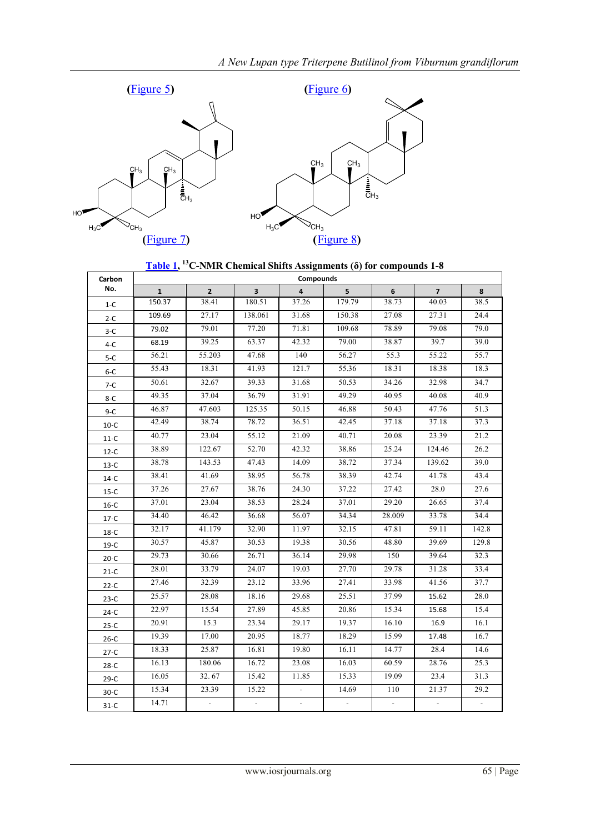



| Carbon  | Compounds    |                |                         |                         |        |        |                |                    |  |  |
|---------|--------------|----------------|-------------------------|-------------------------|--------|--------|----------------|--------------------|--|--|
| No.     | $\mathbf{1}$ | $\overline{2}$ | $\overline{\mathbf{3}}$ | $\overline{\mathbf{A}}$ | 5      | 6      | $\overline{7}$ | 8                  |  |  |
| $1-C$   | 150.37       | 38.41          | 180.51                  | 37.26                   | 179.79 | 38.73  | 40.03          | 38.5               |  |  |
| $2-C$   | 109.69       | 27.17          | 138.061                 | 31.68                   | 150.38 | 27.08  | 27.31          | 24.4               |  |  |
| $3-C$   | 79.02        | 79.01          | 77.20                   | 71.81                   | 109.68 | 78.89  | 79.08          | 79.0               |  |  |
| $4-C$   | 68.19        | 39.25          | 63.37                   | 42.32                   | 79.00  | 38.87  | 39.7           | 39.0               |  |  |
| $5-C$   | 56.21        | 55.203         | 47.68                   | 140                     | 56.27  | 55.3   | 55.22          | 55.7               |  |  |
| $6 - C$ | 55.43        | 18.31          | 41.93                   | 121.7                   | 55.36  | 18.31  | 18.38          | 18.3               |  |  |
| 7-C     | 50.61        | 32.67          | 39.33                   | 31.68                   | 50.53  | 34.26  | 32.98          | 34.7               |  |  |
| $8 - C$ | 49.35        | 37.04          | 36.79                   | 31.91                   | 49.29  | 40.95  | 40.08          | 40.9               |  |  |
| $9-C$   | 46.87        | 47.603         | 125.35                  | 50.15                   | 46.88  | 50.43  | 47.76          | 51.3               |  |  |
| $10-C$  | 42.49        | 38.74          | 78.72                   | 36.51                   | 42.45  | 37.18  | 37.18          | 37.3               |  |  |
| $11-C$  | 40.77        | 23.04          | 55.12                   | 21.09                   | 40.71  | 20.08  | 23.39          | 21.2               |  |  |
| $12-C$  | 38.89        | 122.67         | 52.70                   | 42.32                   | 38.86  | 25.24  | 124.46         | 26.2               |  |  |
| $13-C$  | 38.78        | 143.53         | 47.43                   | 14.09                   | 38.72  | 37.34  | 139.62         | 39.0               |  |  |
| $14-C$  | 38.41        | 41.69          | 38.95                   | 56.78                   | 38.39  | 42.74  | 41.78          | 43.4               |  |  |
| $15-C$  | 37.26        | 27.67          | 38.76                   | 24.30                   | 37.22  | 27.42  | 28.0           | 27.6               |  |  |
| $16-C$  | 37.01        | 23.04          | 38.53                   | 28.24                   | 37.01  | 29.20  | 26.65          | 37.4               |  |  |
| $17-C$  | 34.40        | 46.42          | 36.68                   | 56.07                   | 34.34  | 28.009 | 33.78          | 34.4               |  |  |
| $18-C$  | 32.17        | 41.179         | 32.90                   | 11.97                   | 32.15  | 47.81  | 59.11          | 142.8              |  |  |
| $19-C$  | 30.57        | 45.87          | 30.53                   | 19.38                   | 30.56  | 48.80  | 39.69          | $\overline{1}29.8$ |  |  |
| $20-C$  | 29.73        | 30.66          | 26.71                   | 36.14                   | 29.98  | 150    | 39.64          | 32.3               |  |  |
| $21-C$  | 28.01        | 33.79          | 24.07                   | 19.03                   | 27.70  | 29.78  | 31.28          | 33.4               |  |  |
| $22-C$  | 27.46        | 32.39          | 23.12                   | 33.96                   | 27.41  | 33.98  | 41.56          | 37.7               |  |  |
| $23-C$  | 25.57        | 28.08          | 18.16                   | 29.68                   | 25.51  | 37.99  | 15.62          | 28.0               |  |  |
| $24-C$  | 22.97        | 15.54          | 27.89                   | 45.85                   | 20.86  | 15.34  | 15.68          | 15.4               |  |  |
| $25-C$  | 20.91        | 15.3           | 23.34                   | 29.17                   | 19.37  | 16.10  | 16.9           | 16.1               |  |  |
| $26-C$  | 19.39        | 17.00          | 20.95                   | 18.77                   | 18.29  | 15.99  | 17.48          | 16.7               |  |  |
| $27-C$  | 18.33        | 25.87          | 16.81                   | 19.80                   | 16.11  | 14.77  | 28.4           | 14.6               |  |  |
| $28-C$  | 16.13        | 180.06         | 16.72                   | 23.08                   | 16.03  | 60.59  | 28.76          | 25.3               |  |  |
| $29-C$  | 16.05        | 32.67          | 15.42                   | 11.85                   | 15.33  | 19.09  | 23.4           | 31.3               |  |  |
| $30-C$  | 15.34        | 23.39          | 15.22                   | $\Box$                  | 14.69  | 110    | 21.37          | 29.2               |  |  |
| $31-C$  | 14.71        | $\Box$         | $\blacksquare$          | $\omega$                | $\Box$ | $\Box$ | $\Box$         | ÷.                 |  |  |